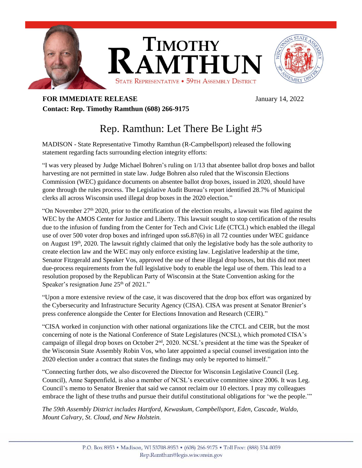

## **FOR IMMEDIATE RELEASE** January 14, 2022 **Contact: Rep. Timothy Ramthun (608) 266-9175**

## Rep. Ramthun: Let There Be Light #5

MADISON - State Representative Timothy Ramthun (R-Campbellsport) released the following statement regarding facts surrounding election integrity efforts:

"I was very pleased by Judge Michael Bohren's ruling on 1/13 that absentee ballot drop boxes and ballot harvesting are not permitted in state law. Judge Bohren also ruled that the Wisconsin Elections Commission (WEC) guidance documents on absentee ballot drop boxes, issued in 2020, should have gone through the rules process. The Legislative Audit Bureau's report identified 28.7% of Municipal clerks all across Wisconsin used illegal drop boxes in the 2020 election."

"On November  $27<sup>th</sup> 2020$ , prior to the certification of the election results, a lawsuit was filed against the WEC by the AMOS Center for Justice and Liberty. This lawsuit sought to stop certification of the results due to the infusion of funding from the Center for Tech and Civic Life (CTCL) which enabled the illegal use of over 500 voter drop boxes and infringed upon ss6.87(6) in all 72 counties under WEC guidance on August  $19<sup>th</sup>$ , 2020. The lawsuit rightly claimed that only the legislative body has the sole authority to create election law and the WEC may only enforce existing law. Legislative leadership at the time, Senator Fitzgerald and Speaker Vos, approved the use of these illegal drop boxes, but this did not meet due-process requirements from the full legislative body to enable the legal use of them. This lead to a resolution proposed by the Republican Party of Wisconsin at the State Convention asking for the Speaker's resignation June  $25<sup>th</sup>$  of  $2021$ ."

"Upon a more extensive review of the case, it was discovered that the drop box effort was organized by the Cybersecurity and Infrastructure Security Agency (CISA). CISA was present at Senator Brenier's press conference alongside the Center for Elections Innovation and Research (CEIR)."

"CISA worked in conjunction with other national organizations like the CTCL and CEIR, but the most concerning of note is the National Conference of State Legislatures (NCSL), which promoted CISA's campaign of illegal drop boxes on October 2nd, 2020. NCSL's president at the time was the Speaker of the Wisconsin State Assembly Robin Vos, who later appointed a special counsel investigation into the 2020 election under a contract that states the findings may only be reported to himself."

"Connecting further dots, we also discovered the Director for Wisconsin Legislative Council (Leg. Council), Anne Sappenfield, is also a member of NCSL's executive committee since 2006. It was Leg. Council's memo to Senator Brenier that said we cannot reclaim our 10 electors. I pray my colleagues embrace the light of these truths and pursue their dutiful constitutional obligations for 'we the people.'"

*The 59th Assembly District includes Hartford, Kewaskum, Campbellsport, Eden, Cascade, Waldo, Mount Calvary, St. Cloud, and New Holstein.*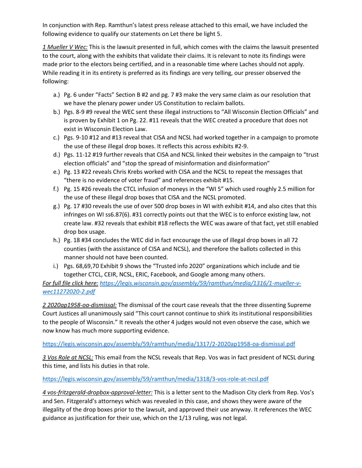In conjunction with Rep. Ramthun's latest press release attached to this email, we have included the following evidence to qualify our statements on Let there be light 5.

*1 Mueller V Wec:* This is the lawsuit presented in full, which comes with the claims the lawsuit presented to the court, along with the exhibits that validate their claims. It is relevant to note its findings were made prior to the electors being certified, and in a reasonable time where Laches should not apply. While reading it in its entirety is preferred as its findings are very telling, our presser observed the following:

- a.) Pg. 6 under "Facts" Section B #2 and pg. 7 #3 make the very same claim as our resolution that we have the plenary power under US Constitution to reclaim ballots.
- b.) Pgs. 8-9 #9 reveal the WEC sent these illegal instructions to "All Wisconsin Election Officials" and is proven by Exhibit 1 on Pg. 22. #11 reveals that the WEC created a procedure that does not exist in Wisconsin Election Law.
- c.) Pgs. 9-10 #12 and #13 reveal that CISA and NCSL had worked together in a campaign to promote the use of these illegal drop boxes. It reflects this across exhibits #2-9.
- d.) Pgs. 11-12 #19 further reveals that CISA and NCSL linked their websites in the campaign to "trust election officials" and "stop the spread of misinformation and disinformation"
- e.) Pg. 13 #22 reveals Chris Krebs worked with CISA and the NCSL to repeat the messages that "there is no evidence of voter fraud" and references exhibit #15.
- f.) Pg. 15 #26 reveals the CTCL infusion of moneys in the "WI 5" which used roughly 2.5 million for the use of these illegal drop boxes that CISA and the NCSL promoted.
- g.) Pg. 17 #30 reveals the use of over 500 drop boxes in WI with exhibit #14, and also cites that this infringes on WI ss6.87(6). #31 correctly points out that the WEC is to enforce existing law, not create law. #32 reveals that exhibit #18 reflects the WEC was aware of that fact, yet still enabled drop box usage.
- h.) Pg. 18 #34 concludes the WEC did in fact encourage the use of illegal drop boxes in all 72 counties (with the assistance of CISA and NCSL), and therefore the ballots collected in this manner should not have been counted.
- i.) Pgs. 68,69,70 Exhibit 9 shows the "Trusted info 2020" organizations which include and tie together CTCL, CEIR, NCSL, ERIC, Facebook, and Google among many others.

*For full file click here: [https://legis.wisconsin.gov/assembly/59/ramthun/media/1316/1-mueller-v](https://legis.wisconsin.gov/assembly/59/ramthun/media/1316/1-mueller-v-wec11272020-2.pdf)[wec11272020-2.pdf](https://legis.wisconsin.gov/assembly/59/ramthun/media/1316/1-mueller-v-wec11272020-2.pdf)*

*2 2020ap1958-oa-dismissal:* The dismissal of the court case reveals that the three dissenting Supreme Court Justices all unanimously said "This court cannot continue to shirk its institutional responsibilities to the people of Wisconsin." It reveals the other 4 judges would not even observe the case, which we now know has much more supporting evidence.

## <https://legis.wisconsin.gov/assembly/59/ramthun/media/1317/2-2020ap1958-oa-dismissal.pdf>

*3 Vos Role at NCSL:* This email from the NCSL reveals that Rep. Vos was in fact president of NCSL during this time, and lists his duties in that role.

## <https://legis.wisconsin.gov/assembly/59/ramthun/media/1318/3-vos-role-at-ncsl.pdf>

*4 vos-fritzgerald-dropbox-approval-letter:* This is a letter sent to the Madison City clerk from Rep. Vos's and Sen. Fitzgerald's attorneys which was revealed in this case, and shows they were aware of the illegality of the drop boxes prior to the lawsuit, and approved their use anyway. It references the WEC guidance as justification for their use, which on the 1/13 ruling, was not legal.